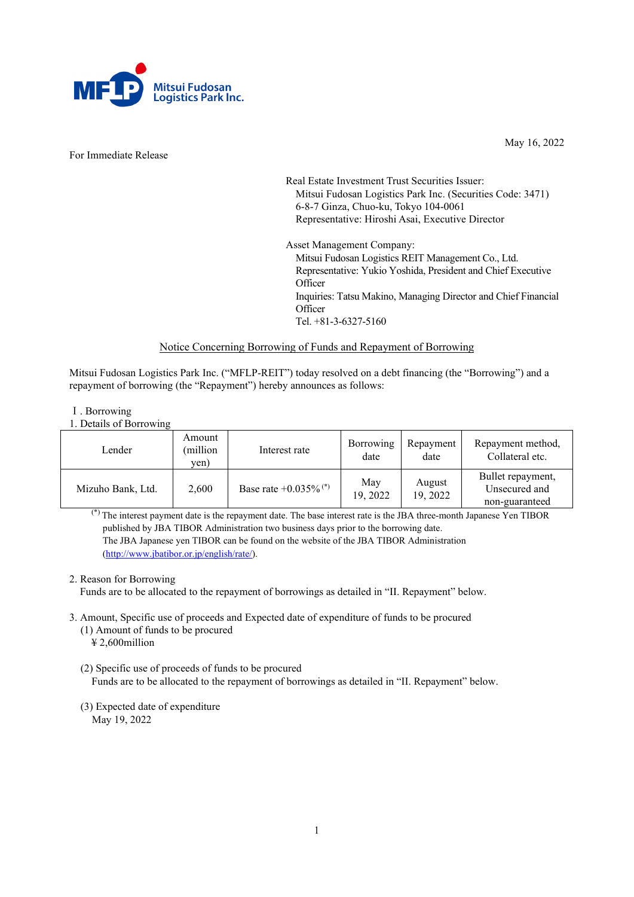

For Immediate Release

May 16, 2022

Real Estate Investment Trust Securities Issuer: Mitsui Fudosan Logistics Park Inc. (Securities Code: 3471) 6-8-7 Ginza, Chuo-ku, Tokyo 104-0061 Representative: Hiroshi Asai, Executive Director

Asset Management Company: Mitsui Fudosan Logistics REIT Management Co., Ltd. Representative: Yukio Yoshida, President and Chief Executive **Officer** Inquiries: Tatsu Makino, Managing Director and Chief Financial **Officer** Tel. +81-3-6327-5160

## Notice Concerning Borrowing of Funds and Repayment of Borrowing

Mitsui Fudosan Logistics Park Inc. ("MFLP-REIT") today resolved on a debt financing (the "Borrowing") and a repayment of borrowing (the "Repayment") hereby announces as follows:

- Ⅰ. Borrowing
- 1. Details of Borrowing

| Lender            | Amount<br>(million<br>yen) | Interest rate                       | Borrowing<br>date | Repayment<br>date  | Repayment method,<br>Collateral etc.                 |
|-------------------|----------------------------|-------------------------------------|-------------------|--------------------|------------------------------------------------------|
| Mizuho Bank, Ltd. | 2,600                      | Base rate $+0.035\%$ <sup>(*)</sup> | May<br>19, 2022   | August<br>19, 2022 | Bullet repayment,<br>Unsecured and<br>non-guaranteed |

(\*) The interest payment date is the repayment date. The base interest rate is the JBA three-month Japanese Yen TIBOR published by JBA TIBOR Administration two business days prior to the borrowing date. The JBA Japanese yen TIBOR can be found on the website of the JBA TIBOR Administration [\(http://www.jbatibor.or.jp/english/rate/\)](http://www.jbatibor.or.jp/english/rate/).

# 2. Reason for Borrowing

Funds are to be allocated to the repayment of borrowings as detailed in "II. Repayment" below.

- 3. Amount, Specific use of proceeds and Expected date of expenditure of funds to be procured
	- (1) Amount of funds to be procured ¥ 2,600million
	- (2) Specific use of proceeds of funds to be procured Funds are to be allocated to the repayment of borrowings as detailed in "II. Repayment" below.
	- (3) Expected date of expenditure May 19, 2022